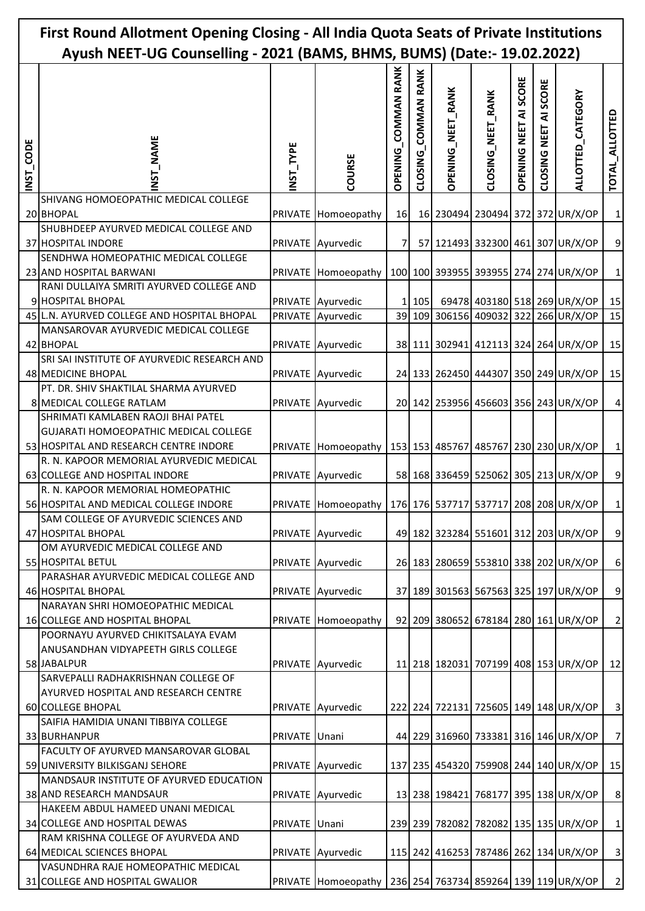| First Round Allotment Opening Closing - All India Quota Seats of Private Institutions<br>Ayush NEET-UG Counselling - 2021 (BAMS, BHMS, BUMS) (Date:- 19.02.2022) |                                                                                                                       |                |                                                                 |                                      |                     |                          |                   |                       |                                      |                                                                       |                   |
|------------------------------------------------------------------------------------------------------------------------------------------------------------------|-----------------------------------------------------------------------------------------------------------------------|----------------|-----------------------------------------------------------------|--------------------------------------|---------------------|--------------------------|-------------------|-----------------------|--------------------------------------|-----------------------------------------------------------------------|-------------------|
| INST_CODE                                                                                                                                                        | <b>NAME</b><br>52<br>N                                                                                                | NST_TYPE       | COURSE                                                          | <b>COMMAN RANK</b><br><b>OPENING</b> | CLOSING_COMMAN RANK | <b>OPENING_NEET_RANK</b> | CLOSING_NEET_RANK | OPENING NEET AI SCORE | SCORE<br>₹<br><b>NEET</b><br>CLOSING | ALLOTTED_CATEGORY                                                     | TOTAL_ALLOTTED    |
|                                                                                                                                                                  | SHIVANG HOMOEOPATHIC MEDICAL COLLEGE<br>20 BHOPAL                                                                     | <b>PRIVATE</b> | Homoeopathy                                                     | 16                                   |                     |                          |                   |                       |                                      | 16 230494 230494 372 372 UR/X/OP                                      | $\mathbf{1}$      |
|                                                                                                                                                                  | SHUBHDEEP AYURVED MEDICAL COLLEGE AND<br>37 HOSPITAL INDORE                                                           |                | PRIVATE Ayurvedic                                               | 7                                    |                     |                          |                   |                       |                                      | 57 121493 332300 461 307 UR/X/OP                                      | $\boldsymbol{9}$  |
|                                                                                                                                                                  | SENDHWA HOMEOPATHIC MEDICAL COLLEGE                                                                                   |                |                                                                 |                                      |                     |                          |                   |                       |                                      |                                                                       |                   |
|                                                                                                                                                                  | 23 AND HOSPITAL BARWANI<br>RANI DULLAIYA SMRITI AYURVED COLLEGE AND<br>9 HOSPITAL BHOPAL                              | <b>PRIVATE</b> | Homoeopathy<br>PRIVATE Ayurvedic                                |                                      | 1 105               |                          |                   |                       |                                      | 100 100 393955 393955 274 274 UR/X/OP<br>69478 403180 518 269 UR/X/OP | $\mathbf 1$<br>15 |
|                                                                                                                                                                  | 45 L.N. AYURVED COLLEGE AND HOSPITAL BHOPAL                                                                           |                | PRIVATE Ayurvedic                                               |                                      |                     |                          |                   |                       |                                      | 39 109 306156 409032 322 266 UR/X/OP                                  | 15                |
|                                                                                                                                                                  | MANSAROVAR AYURVEDIC MEDICAL COLLEGE<br>42 BHOPAL                                                                     | <b>PRIVATE</b> | Ayurvedic                                                       |                                      |                     |                          |                   |                       |                                      | 38 111 302941 412113 324 264 UR/X/OP                                  | 15                |
|                                                                                                                                                                  | SRI SAI INSTITUTE OF AYURVEDIC RESEARCH AND<br>48 MEDICINE BHOPAL                                                     |                | PRIVATE Ayurvedic                                               |                                      |                     |                          |                   |                       |                                      | 24 133 262450 444307 350 249 UR/X/OP                                  | 15                |
|                                                                                                                                                                  | PT. DR. SHIV SHAKTILAL SHARMA AYURVED<br>8 MEDICAL COLLEGE RATLAM                                                     |                | PRIVATE Ayurvedic                                               |                                      |                     |                          |                   |                       |                                      | 20 142 253956 456603 356 243 UR/X/OP                                  | $\vert 4 \vert$   |
|                                                                                                                                                                  | SHRIMATI KAMLABEN RAOJI BHAI PATEL<br>GUJARATI HOMOEOPATHIC MEDICAL COLLEGE<br>53 HOSPITAL AND RESEARCH CENTRE INDORE | <b>PRIVATE</b> | Homoeopathy   153   153   485767   485767   230   230   UR/X/OP |                                      |                     |                          |                   |                       |                                      |                                                                       | $1\vert$          |
|                                                                                                                                                                  | R. N. KAPOOR MEMORIAL AYURVEDIC MEDICAL<br>63 COLLEGE AND HOSPITAL INDORE                                             |                | PRIVATE Ayurvedic                                               |                                      |                     |                          |                   |                       |                                      | 58 168 336459 525062 305 213 UR/X/OP                                  | $\boldsymbol{9}$  |
|                                                                                                                                                                  | R. N. KAPOOR MEMORIAL HOMEOPATHIC<br>56 HOSPITAL AND MEDICAL COLLEGE INDORE                                           |                | PRIVATE Homoeopathy   176 176 537717 537717 208 208 UR/X/OP     |                                      |                     |                          |                   |                       |                                      |                                                                       | $\mathbf{1}$      |
|                                                                                                                                                                  | SAM COLLEGE OF AYURVEDIC SCIENCES AND                                                                                 |                |                                                                 |                                      |                     |                          |                   |                       |                                      |                                                                       |                   |
|                                                                                                                                                                  | 47 HOSPITAL BHOPAL                                                                                                    | <b>PRIVATE</b> | Ayurvedic                                                       |                                      |                     |                          |                   |                       |                                      | 49 182 323284 551601 312 203 UR/X/OP                                  | $\overline{9}$    |
|                                                                                                                                                                  | OM AYURVEDIC MEDICAL COLLEGE AND<br>55 HOSPITAL BETUL                                                                 | <b>PRIVATE</b> | Ayurvedic                                                       |                                      |                     |                          |                   |                       |                                      | 26 183 280659 553810 338 202 UR/X/OP                                  | $\boldsymbol{6}$  |
|                                                                                                                                                                  | PARASHAR AYURVEDIC MEDICAL COLLEGE AND<br>46 HOSPITAL BHOPAL                                                          |                | PRIVATE Ayurvedic                                               |                                      |                     |                          |                   |                       |                                      | 37 189 301563 567563 325 197 UR/X/OP                                  | $\overline{9}$    |
|                                                                                                                                                                  | NARAYAN SHRI HOMOEOPATHIC MEDICAL<br>16 COLLEGE AND HOSPITAL BHOPAL                                                   | <b>PRIVATE</b> | Homoeopathy                                                     |                                      |                     |                          |                   |                       |                                      | 92 209 380652 678184 280 161 UR/X/OP                                  | $\overline{2}$    |
|                                                                                                                                                                  | POORNAYU AYURVED CHIKITSALAYA EVAM<br>ANUSANDHAN VIDYAPEETH GIRLS COLLEGE<br>58 JABALPUR                              | <b>PRIVATE</b> | Ayurvedic                                                       |                                      |                     |                          |                   |                       |                                      | 11 218 182031 707199 408 153 UR/X/OP                                  | 12                |
|                                                                                                                                                                  | SARVEPALLI RADHAKRISHNAN COLLEGE OF<br>AYURVED HOSPITAL AND RESEARCH CENTRE<br>60 COLLEGE BHOPAL                      |                | PRIVATE Ayurvedic                                               |                                      |                     |                          |                   |                       |                                      | 222 224 722131 725605 149 148 UR/X/OP                                 | $\overline{3}$    |
|                                                                                                                                                                  | SAIFIA HAMIDIA UNANI TIBBIYA COLLEGE<br>33 BURHANPUR                                                                  | <b>PRIVATE</b> | Unani                                                           |                                      |                     |                          |                   |                       |                                      | 44 229 316960 733381 316 146 UR/X/OP                                  | $\overline{7}$    |
|                                                                                                                                                                  | FACULTY OF AYURVED MANSAROVAR GLOBAL<br>59 UNIVERSITY BILKISGANJ SEHORE                                               | <b>PRIVATE</b> | Ayurvedic                                                       |                                      |                     |                          |                   |                       |                                      | 137 235 454320 759908 244 140 UR/X/OP                                 | 15                |
|                                                                                                                                                                  | MANDSAUR INSTITUTE OF AYURVED EDUCATION<br>38 AND RESEARCH MANDSAUR                                                   | <b>PRIVATE</b> | Ayurvedic                                                       |                                      |                     |                          |                   |                       |                                      | 13 238 198421 768177 395 138 UR/X/OP                                  | 8 <sup>1</sup>    |
|                                                                                                                                                                  | HAKEEM ABDUL HAMEED UNANI MEDICAL                                                                                     |                |                                                                 |                                      |                     |                          |                   |                       |                                      |                                                                       |                   |
|                                                                                                                                                                  | 34 COLLEGE AND HOSPITAL DEWAS                                                                                         | <b>PRIVATE</b> | Unani                                                           |                                      |                     |                          |                   |                       |                                      | 239 239 782082 782082 135 135 UR/X/OP                                 | $1\vert$          |
|                                                                                                                                                                  | RAM KRISHNA COLLEGE OF AYURVEDA AND<br>64 MEDICAL SCIENCES BHOPAL                                                     |                | PRIVATE Ayurvedic                                               |                                      |                     |                          |                   |                       |                                      | 115 242 416253 787486 262 134 UR/X/OP                                 | $\overline{3}$    |
|                                                                                                                                                                  | VASUNDHRA RAJE HOMEOPATHIC MEDICAL<br>31 COLLEGE AND HOSPITAL GWALIOR                                                 |                | PRIVATE Homoeopathy 236 254 763734 859264 139 119 UR/X/OP       |                                      |                     |                          |                   |                       |                                      |                                                                       | $\overline{2}$    |